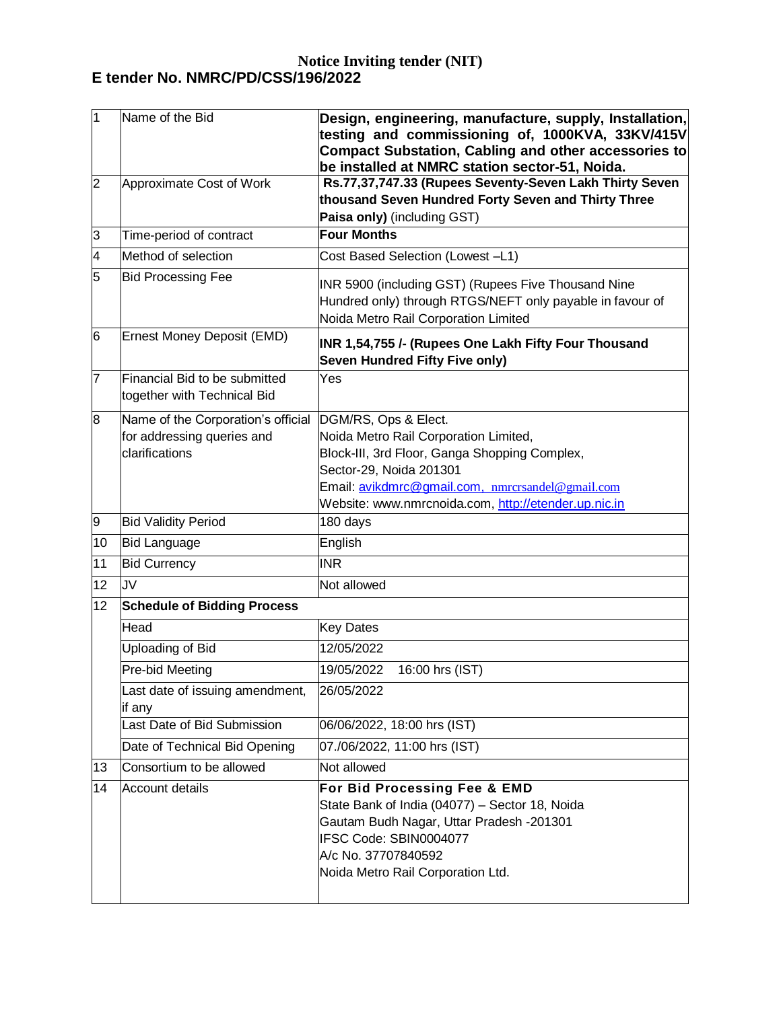## **Notice Inviting tender (NIT) E tender No. NMRC/PD/CSS/196/2022**

| 1              | Name of the Bid                                                                    | Design, engineering, manufacture, supply, Installation,<br>testing and commissioning of, 1000KVA, 33KV/415V<br><b>Compact Substation, Cabling and other accessories to</b><br>be installed at NMRC station sector-51, Noida.                          |
|----------------|------------------------------------------------------------------------------------|-------------------------------------------------------------------------------------------------------------------------------------------------------------------------------------------------------------------------------------------------------|
| $\overline{2}$ | Approximate Cost of Work                                                           | Rs.77,37,747.33 (Rupees Seventy-Seven Lakh Thirty Seven<br>thousand Seven Hundred Forty Seven and Thirty Three<br>Paisa only) (including GST)                                                                                                         |
| 3              | Time-period of contract                                                            | <b>Four Months</b>                                                                                                                                                                                                                                    |
| 4              | Method of selection                                                                | Cost Based Selection (Lowest -L1)                                                                                                                                                                                                                     |
| 5              | <b>Bid Processing Fee</b>                                                          | INR 5900 (including GST) (Rupees Five Thousand Nine<br>Hundred only) through RTGS/NEFT only payable in favour of<br>Noida Metro Rail Corporation Limited                                                                                              |
| 6              | Ernest Money Deposit (EMD)                                                         | INR 1,54,755 /- (Rupees One Lakh Fifty Four Thousand<br><b>Seven Hundred Fifty Five only)</b>                                                                                                                                                         |
| 7              | Financial Bid to be submitted<br>together with Technical Bid                       | Yes                                                                                                                                                                                                                                                   |
| 8              | Name of the Corporation's official<br>for addressing queries and<br>clarifications | DGM/RS, Ops & Elect.<br>Noida Metro Rail Corporation Limited,<br>Block-III, 3rd Floor, Ganga Shopping Complex,<br>Sector-29, Noida 201301<br>Email: avikdmrc@gmail.com, nmrcrsandel@gmail.com<br>Website: www.nmrcnoida.com, http://etender.up.nic.in |
| 9              | <b>Bid Validity Period</b>                                                         | 180 days                                                                                                                                                                                                                                              |
| 10             | <b>Bid Language</b>                                                                | English                                                                                                                                                                                                                                               |
| 11             | <b>Bid Currency</b>                                                                | <b>INR</b>                                                                                                                                                                                                                                            |
| 12             | JV                                                                                 | Not allowed                                                                                                                                                                                                                                           |
| 12             | <b>Schedule of Bidding Process</b>                                                 |                                                                                                                                                                                                                                                       |
|                | Head                                                                               | <b>Key Dates</b>                                                                                                                                                                                                                                      |
|                | Uploading of Bid                                                                   | 12/05/2022                                                                                                                                                                                                                                            |
|                | Pre-bid Meeting                                                                    | 19/05/2022<br>16:00 hrs (IST)                                                                                                                                                                                                                         |
|                | Last date of issuing amendment,<br>if any                                          | 26/05/2022                                                                                                                                                                                                                                            |
|                | Last Date of Bid Submission                                                        | 06/06/2022, 18:00 hrs (IST)                                                                                                                                                                                                                           |
|                | Date of Technical Bid Opening                                                      | 07./06/2022, 11:00 hrs (IST)                                                                                                                                                                                                                          |
| 13             | Consortium to be allowed                                                           | Not allowed                                                                                                                                                                                                                                           |
| 14             | <b>Account details</b>                                                             | For Bid Processing Fee & EMD<br>State Bank of India (04077) - Sector 18, Noida<br>Gautam Budh Nagar, Uttar Pradesh -201301<br>IFSC Code: SBIN0004077<br>A/c No. 37707840592<br>Noida Metro Rail Corporation Ltd.                                      |